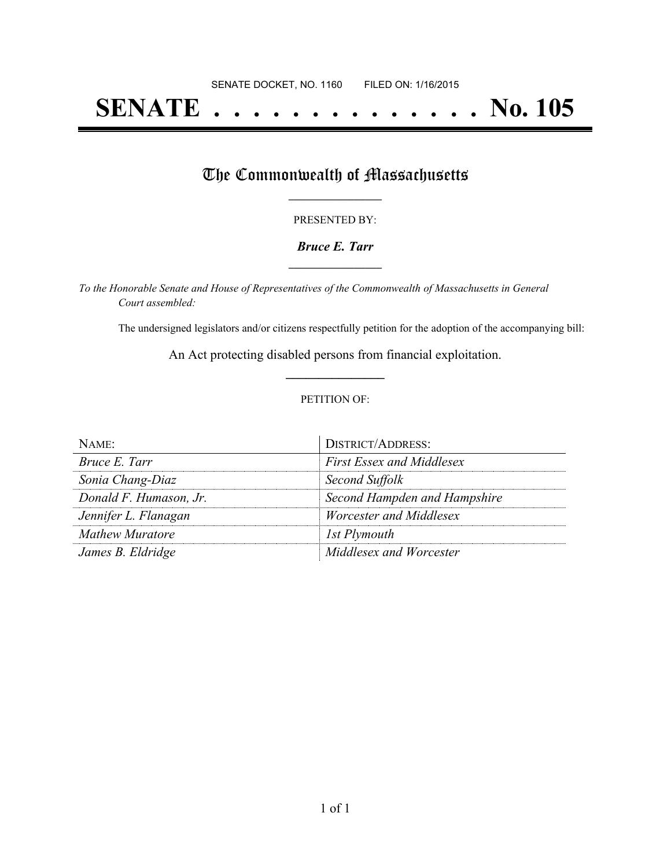# **SENATE . . . . . . . . . . . . . . No. 105**

## The Commonwealth of Massachusetts

#### PRESENTED BY:

#### *Bruce E. Tarr* **\_\_\_\_\_\_\_\_\_\_\_\_\_\_\_\_\_**

*To the Honorable Senate and House of Representatives of the Commonwealth of Massachusetts in General Court assembled:*

The undersigned legislators and/or citizens respectfully petition for the adoption of the accompanying bill:

An Act protecting disabled persons from financial exploitation. **\_\_\_\_\_\_\_\_\_\_\_\_\_\_\_**

#### PETITION OF:

| NAME:                  | <b>DISTRICT/ADDRESS:</b>         |
|------------------------|----------------------------------|
| Bruce E. Tarr          | <b>First Essex and Middlesex</b> |
| Sonia Chang-Diaz       | Second Suffolk                   |
| Donald F. Humason, Jr. | Second Hampden and Hampshire     |
| Jennifer L. Flanagan   | <i>Worcester and Middlesex</i>   |
| Mathew Muratore        | 1st Plymouth                     |
| James B. Eldridge      | Middlesex and Worcester          |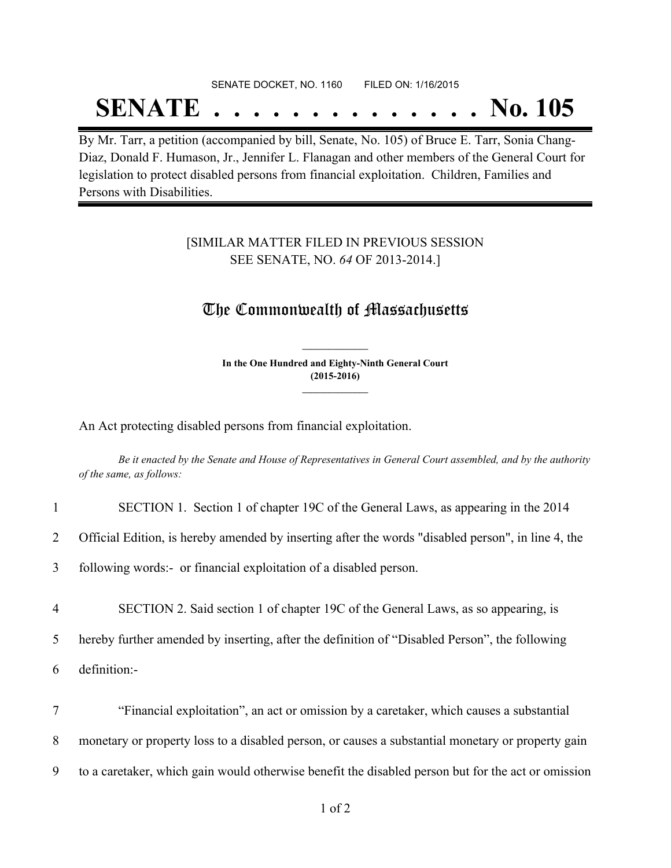## SENATE DOCKET, NO. 1160 FILED ON: 1/16/2015 **SENATE . . . . . . . . . . . . . . No. 105**

By Mr. Tarr, a petition (accompanied by bill, Senate, No. 105) of Bruce E. Tarr, Sonia Chang-Diaz, Donald F. Humason, Jr., Jennifer L. Flanagan and other members of the General Court for legislation to protect disabled persons from financial exploitation. Children, Families and Persons with Disabilities.

### [SIMILAR MATTER FILED IN PREVIOUS SESSION SEE SENATE, NO. *64* OF 2013-2014.]

## The Commonwealth of Massachusetts

**In the One Hundred and Eighty-Ninth General Court (2015-2016) \_\_\_\_\_\_\_\_\_\_\_\_\_\_\_**

**\_\_\_\_\_\_\_\_\_\_\_\_\_\_\_**

An Act protecting disabled persons from financial exploitation.

Be it enacted by the Senate and House of Representatives in General Court assembled, and by the authority *of the same, as follows:*

| $\mathbf{1}$   | SECTION 1. Section 1 of chapter 19C of the General Laws, as appearing in the 2014                  |
|----------------|----------------------------------------------------------------------------------------------------|
| 2              | Official Edition, is hereby amended by inserting after the words "disabled person", in line 4, the |
| 3              | following words:- or financial exploitation of a disabled person.                                  |
| $\overline{4}$ | SECTION 2. Said section 1 of chapter 19C of the General Laws, as so appearing, is                  |
| 5              | hereby further amended by inserting, after the definition of "Disabled Person", the following      |
| 6              | definition:-                                                                                       |
| $\overline{7}$ | "Financial exploitation", an act or omission by a caretaker, which causes a substantial            |
| 8              | monetary or property loss to a disabled person, or causes a substantial monetary or property gain  |
| 9              | to a caretaker, which gain would otherwise benefit the disabled person but for the act or omission |